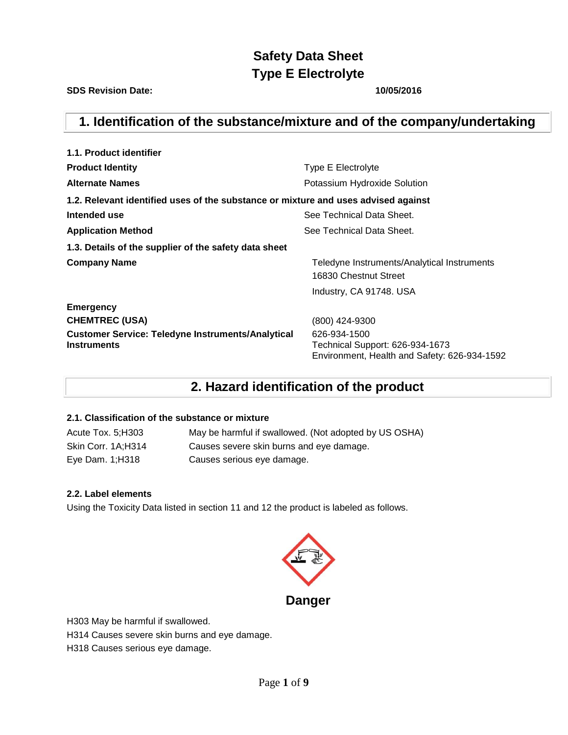**SDS Revision Date: 10/05/2016**

## **1. Identification of the substance/mixture and of the company/undertaking**

| 1.1. Product identifier                                                            |                                                                                                 |
|------------------------------------------------------------------------------------|-------------------------------------------------------------------------------------------------|
| <b>Product Identity</b>                                                            | Type E Electrolyte                                                                              |
| <b>Alternate Names</b>                                                             | Potassium Hydroxide Solution                                                                    |
| 1.2. Relevant identified uses of the substance or mixture and uses advised against |                                                                                                 |
| Intended use                                                                       | See Technical Data Sheet.                                                                       |
| <b>Application Method</b>                                                          | See Technical Data Sheet.                                                                       |
| 1.3. Details of the supplier of the safety data sheet                              |                                                                                                 |
| <b>Company Name</b>                                                                | Teledyne Instruments/Analytical Instruments<br>16830 Chestnut Street                            |
|                                                                                    | Industry, CA 91748. USA                                                                         |
| <b>Emergency</b>                                                                   |                                                                                                 |
| <b>CHEMTREC (USA)</b>                                                              | (800) 424-9300                                                                                  |
| <b>Customer Service: Teledyne Instruments/Analytical</b><br><b>Instruments</b>     | 626-934-1500<br>Technical Support: 626-934-1673<br>Environment, Health and Safety: 626-934-1592 |

## **2. Hazard identification of the product**

## **2.1. Classification of the substance or mixture**

| Acute Tox. 5;H303  | May be harmful if swallowed. (Not adopted by US OSHA) |
|--------------------|-------------------------------------------------------|
| Skin Corr. 1A;H314 | Causes severe skin burns and eye damage.              |
| Eye Dam. 1; H318   | Causes serious eye damage.                            |

## **2.2. Label elements**

Using the Toxicity Data listed in section 11 and 12 the product is labeled as follows.



H303 May be harmful if swallowed.

H314 Causes severe skin burns and eye damage.

H318 Causes serious eye damage.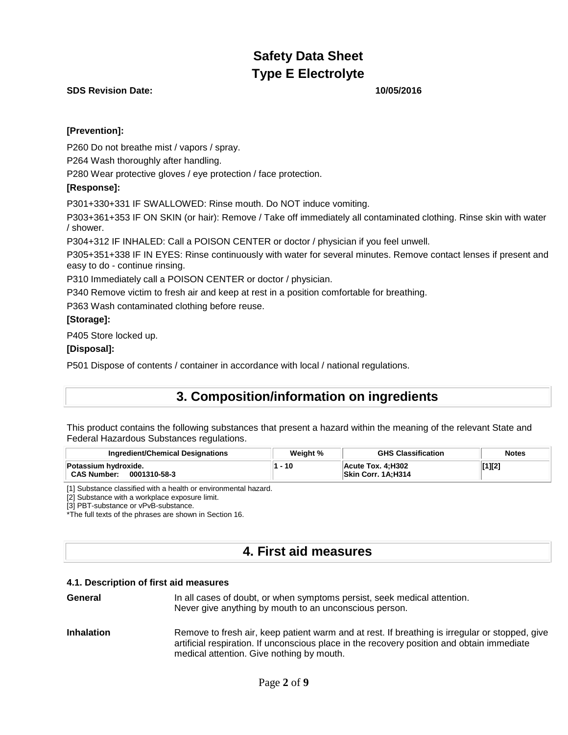## **SDS Revision Date: 10/05/2016**

## **[Prevention]:**

P260 Do not breathe mist / vapors / spray.

P264 Wash thoroughly after handling.

P280 Wear protective gloves / eye protection / face protection.

## **[Response]:**

P301+330+331 IF SWALLOWED: Rinse mouth. Do NOT induce vomiting.

P303+361+353 IF ON SKIN (or hair): Remove / Take off immediately all contaminated clothing. Rinse skin with water / shower.

P304+312 IF INHALED: Call a POISON CENTER or doctor / physician if you feel unwell.

P305+351+338 IF IN EYES: Rinse continuously with water for several minutes. Remove contact lenses if present and easy to do - continue rinsing.

P310 Immediately call a POISON CENTER or doctor / physician.

P340 Remove victim to fresh air and keep at rest in a position comfortable for breathing.

P363 Wash contaminated clothing before reuse.

## **[Storage]:**

P405 Store locked up.

## **[Disposal]:**

P501 Dispose of contents / container in accordance with local / national regulations.

## **3. Composition/information on ingredients**

This product contains the following substances that present a hazard within the meaning of the relevant State and Federal Hazardous Substances regulations.

| <b>Ingredient/Chemical Designations</b>                    | Weight % | <b>GHS Classification</b>               | <b>Notes</b> |
|------------------------------------------------------------|----------|-----------------------------------------|--------------|
| Potassium hydroxide.<br><b>CAS Number:</b><br>0001310-58-3 | 10       | Acute Tox. 4:H302<br>Skin Corr. 1A;H314 | [1][2]       |

[1] Substance classified with a health or environmental hazard.

[2] Substance with a workplace exposure limit.

[3] PBT-substance or vPvB-substance.

\*The full texts of the phrases are shown in Section 16.

## **4. First aid measures**

## **4.1. Description of first aid measures**

- **General** In all cases of doubt, or when symptoms persist, seek medical attention. Never give anything by mouth to an unconscious person.
- **Inhalation** Remove to fresh air, keep patient warm and at rest. If breathing is irregular or stopped, give artificial respiration. If unconscious place in the recovery position and obtain immediate medical attention. Give nothing by mouth.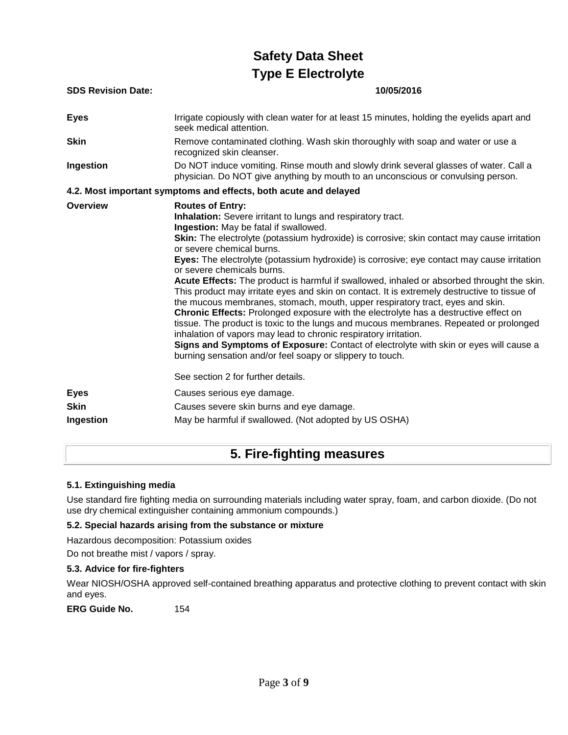| <b>SDS Revision Date:</b>  | 10/05/2016                                                                                                                                                                                                                                                                                                                                                                                                                                                                                                                                                                                                                                                                                                                                                                                                                                                                                                                                                                                                                                                                                                                            |
|----------------------------|---------------------------------------------------------------------------------------------------------------------------------------------------------------------------------------------------------------------------------------------------------------------------------------------------------------------------------------------------------------------------------------------------------------------------------------------------------------------------------------------------------------------------------------------------------------------------------------------------------------------------------------------------------------------------------------------------------------------------------------------------------------------------------------------------------------------------------------------------------------------------------------------------------------------------------------------------------------------------------------------------------------------------------------------------------------------------------------------------------------------------------------|
| <b>Eyes</b>                | Irrigate copiously with clean water for at least 15 minutes, holding the eyelids apart and<br>seek medical attention.                                                                                                                                                                                                                                                                                                                                                                                                                                                                                                                                                                                                                                                                                                                                                                                                                                                                                                                                                                                                                 |
| <b>Skin</b>                | Remove contaminated clothing. Wash skin thoroughly with soap and water or use a<br>recognized skin cleanser.                                                                                                                                                                                                                                                                                                                                                                                                                                                                                                                                                                                                                                                                                                                                                                                                                                                                                                                                                                                                                          |
| Ingestion                  | Do NOT induce vomiting. Rinse mouth and slowly drink several glasses of water. Call a<br>physician. Do NOT give anything by mouth to an unconscious or convulsing person.                                                                                                                                                                                                                                                                                                                                                                                                                                                                                                                                                                                                                                                                                                                                                                                                                                                                                                                                                             |
|                            | 4.2. Most important symptoms and effects, both acute and delayed                                                                                                                                                                                                                                                                                                                                                                                                                                                                                                                                                                                                                                                                                                                                                                                                                                                                                                                                                                                                                                                                      |
| Overview                   | <b>Routes of Entry:</b><br><b>Inhalation:</b> Severe irritant to lungs and respiratory tract.<br>Ingestion: May be fatal if swallowed.<br><b>Skin:</b> The electrolyte (potassium hydroxide) is corrosive; skin contact may cause irritation<br>or severe chemical burns.<br>Eyes: The electrolyte (potassium hydroxide) is corrosive; eye contact may cause irritation<br>or severe chemicals burns.<br>Acute Effects: The product is harmful if swallowed, inhaled or absorbed throught the skin.<br>This product may irritate eyes and skin on contact. It is extremely destructive to tissue of<br>the mucous membranes, stomach, mouth, upper respiratory tract, eyes and skin.<br>Chronic Effects: Prolonged exposure with the electrolyte has a destructive effect on<br>tissue. The product is toxic to the lungs and mucous membranes. Repeated or prolonged<br>inhalation of vapors may lead to chronic respiratory irritation.<br>Signs and Symptoms of Exposure: Contact of electrolyte with skin or eyes will cause a<br>burning sensation and/or feel soapy or slippery to touch.<br>See section 2 for further details. |
|                            |                                                                                                                                                                                                                                                                                                                                                                                                                                                                                                                                                                                                                                                                                                                                                                                                                                                                                                                                                                                                                                                                                                                                       |
| <b>Eyes</b><br><b>Skin</b> | Causes serious eye damage.<br>Causes severe skin burns and eye damage.                                                                                                                                                                                                                                                                                                                                                                                                                                                                                                                                                                                                                                                                                                                                                                                                                                                                                                                                                                                                                                                                |
| Ingestion                  | May be harmful if swallowed. (Not adopted by US OSHA)                                                                                                                                                                                                                                                                                                                                                                                                                                                                                                                                                                                                                                                                                                                                                                                                                                                                                                                                                                                                                                                                                 |

## **5. Fire-fighting measures**

## **5.1. Extinguishing media**

Use standard fire fighting media on surrounding materials including water spray, foam, and carbon dioxide. (Do not use dry chemical extinguisher containing ammonium compounds.)

## **5.2. Special hazards arising from the substance or mixture**

Hazardous decomposition: Potassium oxides

Do not breathe mist / vapors / spray.

## **5.3. Advice for fire-fighters**

Wear NIOSH/OSHA approved self-contained breathing apparatus and protective clothing to prevent contact with skin and eyes.

**ERG Guide No.** 154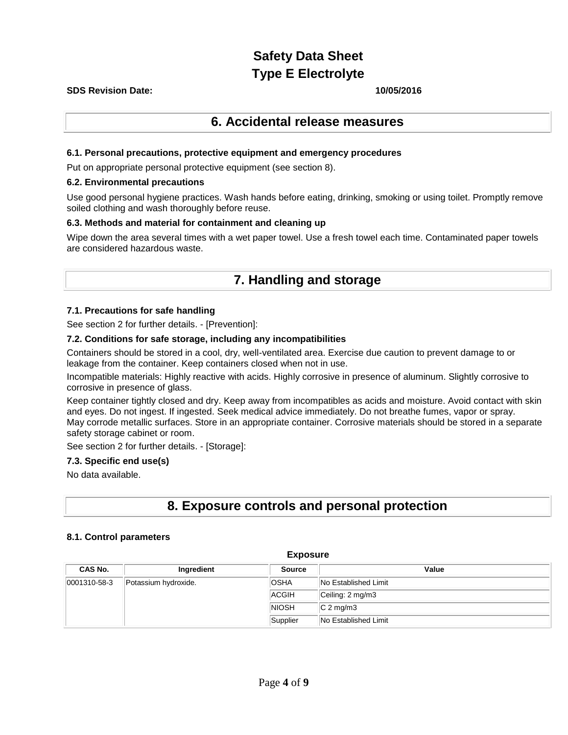## **SDS Revision Date: 10/05/2016**

## **6. Accidental release measures**

## **6.1. Personal precautions, protective equipment and emergency procedures**

Put on appropriate personal protective equipment (see section 8).

#### **6.2. Environmental precautions**

Use good personal hygiene practices. Wash hands before eating, drinking, smoking or using toilet. Promptly remove soiled clothing and wash thoroughly before reuse.

## **6.3. Methods and material for containment and cleaning up**

Wipe down the area several times with a wet paper towel. Use a fresh towel each time. Contaminated paper towels are considered hazardous waste.

## **7. Handling and storage**

## **7.1. Precautions for safe handling**

See section 2 for further details. - [Prevention]:

## **7.2. Conditions for safe storage, including any incompatibilities**

Containers should be stored in a cool, dry, well-ventilated area. Exercise due caution to prevent damage to or leakage from the container. Keep containers closed when not in use.

Incompatible materials: Highly reactive with acids. Highly corrosive in presence of aluminum. Slightly corrosive to corrosive in presence of glass.

Keep container tightly closed and dry. Keep away from incompatibles as acids and moisture. Avoid contact with skin and eyes. Do not ingest. If ingested. Seek medical advice immediately. Do not breathe fumes, vapor or spray. May corrode metallic surfaces. Store in an appropriate container. Corrosive materials should be stored in a separate safety storage cabinet or room.

See section 2 for further details. - [Storage]:

## **7.3. Specific end use(s)**

No data available.

## **8. Exposure controls and personal protection**

## **8.1. Control parameters**

| LAPOSUIV                                 |                      |              |                             |  |  |  |
|------------------------------------------|----------------------|--------------|-----------------------------|--|--|--|
| CAS No.<br>Value<br>Ingredient<br>Source |                      |              |                             |  |  |  |
| $ 0001310 - 58 - 3 $                     | Potassium hydroxide. | <b>OSHA</b>  | <b>No Established Limit</b> |  |  |  |
|                                          |                      | ACGIH        | Ceiling: 2 mg/m3            |  |  |  |
|                                          |                      | <b>NIOSH</b> | $ C 2$ mg/m3                |  |  |  |
|                                          |                      | Supplier     | No Established Limit        |  |  |  |

**Exposure**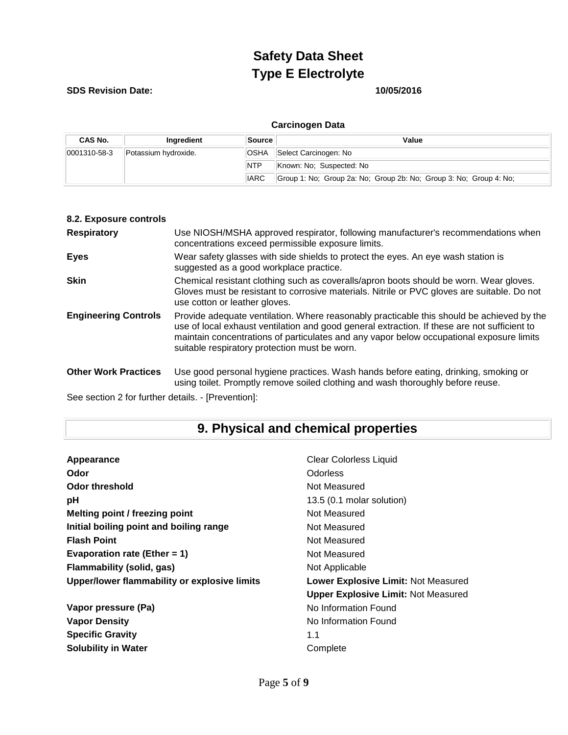## **SDS Revision Date: 10/05/2016**

| CAS No.              | Ingredient           | <b>Source</b> | Value                                                              |  |
|----------------------|----------------------|---------------|--------------------------------------------------------------------|--|
| $ 0001310 - 58 - 3 $ | Potassium hydroxide. | <b>OSHA</b>   | Select Carcinogen: No                                              |  |
|                      |                      | <b>NTP</b>    | Known: No: Suspected: No                                           |  |
|                      |                      | <b>IARC</b>   | Group 1: No; Group 2a: No; Group 2b: No; Group 3: No; Group 4: No; |  |

|  | <b>Carcinogen Data</b> |
|--|------------------------|
|  |                        |

| 8.2. Exposure controls      |                                                                                                                                                                                                                                                                                                                                        |
|-----------------------------|----------------------------------------------------------------------------------------------------------------------------------------------------------------------------------------------------------------------------------------------------------------------------------------------------------------------------------------|
| <b>Respiratory</b>          | Use NIOSH/MSHA approved respirator, following manufacturer's recommendations when<br>concentrations exceed permissible exposure limits.                                                                                                                                                                                                |
| <b>Eyes</b>                 | Wear safety glasses with side shields to protect the eyes. An eye wash station is<br>suggested as a good workplace practice.                                                                                                                                                                                                           |
| <b>Skin</b>                 | Chemical resistant clothing such as coveralls/apron boots should be worn. Wear gloves.<br>Gloves must be resistant to corrosive materials. Nitrile or PVC gloves are suitable. Do not<br>use cotton or leather gloves.                                                                                                                 |
| <b>Engineering Controls</b> | Provide adequate ventilation. Where reasonably practicable this should be achieved by the<br>use of local exhaust ventilation and good general extraction. If these are not sufficient to<br>maintain concentrations of particulates and any vapor below occupational exposure limits<br>suitable respiratory protection must be worn. |
| <b>Other Work Practices</b> | Use good personal hygiene practices. Wash hands before eating, drinking, smoking or<br>using toilet. Promptly remove soiled clothing and wash thoroughly before reuse.                                                                                                                                                                 |

See section 2 for further details. - [Prevention]:

# **9. Physical and chemical properties**

| Appearance                                   | <b>Clear Colorless Liquid</b>              |
|----------------------------------------------|--------------------------------------------|
| Odor                                         | <b>Odorless</b>                            |
| Odor threshold                               | Not Measured                               |
| рH                                           | 13.5 (0.1 molar solution)                  |
| Melting point / freezing point               | Not Measured                               |
| Initial boiling point and boiling range      | Not Measured                               |
| <b>Flash Point</b>                           | Not Measured                               |
| Evaporation rate (Ether = $1$ )              | Not Measured                               |
| Flammability (solid, gas)                    | Not Applicable                             |
| Upper/lower flammability or explosive limits | Lower Explosive Limit: Not Measured        |
|                                              | <b>Upper Explosive Limit: Not Measured</b> |
| Vapor pressure (Pa)                          | No Information Found                       |
| <b>Vapor Density</b>                         | No Information Found                       |
| <b>Specific Gravity</b>                      | 1.1                                        |
| <b>Solubility in Water</b>                   | Complete                                   |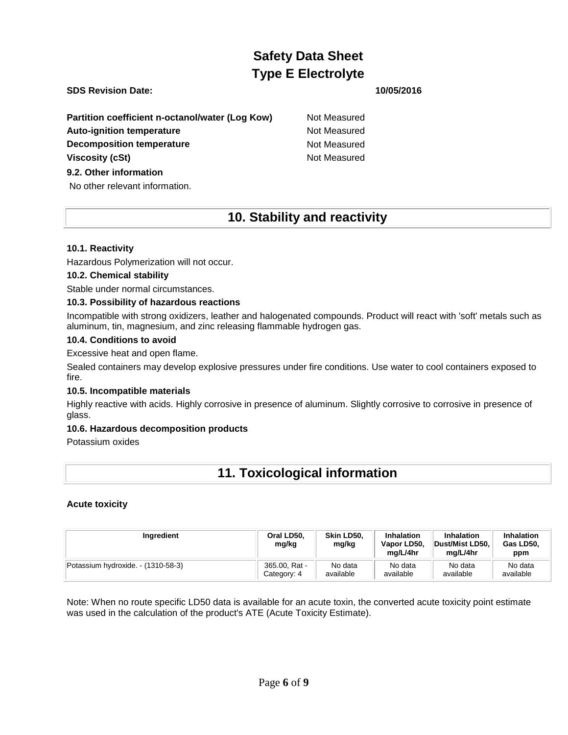## **SDS Revision Date: 10/05/2016**

**Partition coefficient n-octanol/water (Log Kow)** Not Measured Auto-ignition temperature **Not Measured** Not Measured **Decomposition temperature** Not Measured **Viscosity (cSt)** Not Measured

## **9.2. Other information**

No other relevant information.

## **10. Stability and reactivity**

## **10.1. Reactivity**

Hazardous Polymerization will not occur.

## **10.2. Chemical stability**

Stable under normal circumstances.

## **10.3. Possibility of hazardous reactions**

Incompatible with strong oxidizers, leather and halogenated compounds. Product will react with 'soft' metals such as aluminum, tin, magnesium, and zinc releasing flammable hydrogen gas.

## **10.4. Conditions to avoid**

Excessive heat and open flame.

Sealed containers may develop explosive pressures under fire conditions. Use water to cool containers exposed to fire.

## **10.5. Incompatible materials**

Highly reactive with acids. Highly corrosive in presence of aluminum. Slightly corrosive to corrosive in presence of glass.

## **10.6. Hazardous decomposition products**

Potassium oxides

## **11. Toxicological information**

## **Acute toxicity**

| Ingredient                         | Oral LD50.<br>mg/kg | Skin LD50.<br>mg/kg | <b>Inhalation</b><br>Vapor LD50,<br>ma/L/4hr | Inhalation<br>Dust/Mist LD50.<br>ma/L/4hr | Inhalation<br>Gas LD50,<br>ppm |
|------------------------------------|---------------------|---------------------|----------------------------------------------|-------------------------------------------|--------------------------------|
| Potassium hydroxide. - (1310-58-3) | 365.00, Rat -       | No data             | No data                                      | No data                                   | No data                        |
|                                    | Category: 4         | available           | available                                    | available                                 | available                      |

Note: When no route specific LD50 data is available for an acute toxin, the converted acute toxicity point estimate was used in the calculation of the product's ATE (Acute Toxicity Estimate).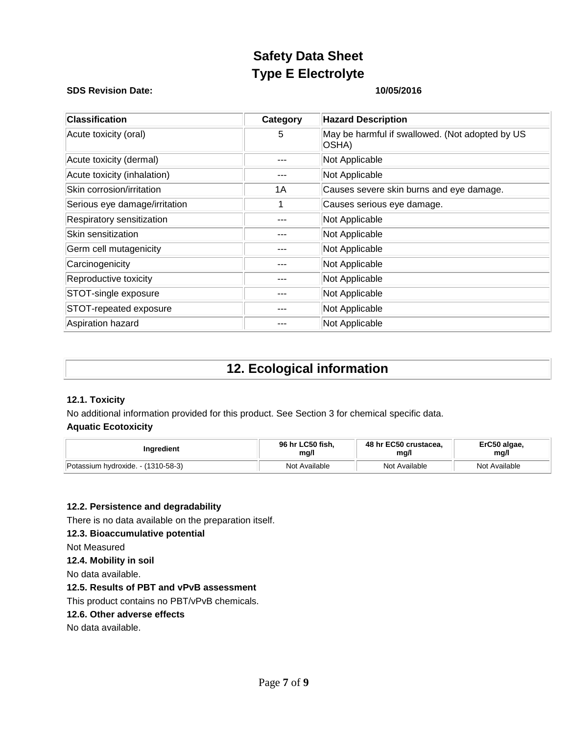### **SDS Revision Date: 10/05/2016**

| <b>Classification</b>         | Category | <b>Hazard Description</b>                                 |
|-------------------------------|----------|-----------------------------------------------------------|
| Acute toxicity (oral)         | 5        | May be harmful if swallowed. (Not adopted by US<br> OSHA) |
| Acute toxicity (dermal)       |          | Not Applicable                                            |
| Acute toxicity (inhalation)   |          | Not Applicable                                            |
| Skin corrosion/irritation     | 1A       | Causes severe skin burns and eye damage.                  |
| Serious eye damage/irritation |          | Causes serious eye damage.                                |
| Respiratory sensitization     |          | Not Applicable                                            |
| Skin sensitization            |          | Not Applicable                                            |
| Germ cell mutagenicity        |          | Not Applicable                                            |
| Carcinogenicity               |          | Not Applicable                                            |
| Reproductive toxicity         |          | Not Applicable                                            |
| STOT-single exposure          |          | Not Applicable                                            |
| STOT-repeated exposure        |          | Not Applicable                                            |
| Aspiration hazard             |          | Not Applicable                                            |

## **12. Ecological information**

## **12.1. Toxicity**

No additional information provided for this product. See Section 3 for chemical specific data.

## **Aquatic Ecotoxicity**

| Ingredient                             | 96 hr LC50 fish. | 48 hr EC50 crustacea. | ErC50 algae,  |
|----------------------------------------|------------------|-----------------------|---------------|
|                                        | mg/l             | mg/l                  | mg/l          |
| Potassium hydroxide.<br>$-(1310-58-3)$ | Not Available    | Not Available         | Not Available |

## **12.2. Persistence and degradability**

There is no data available on the preparation itself.

## **12.3. Bioaccumulative potential**

Not Measured

## **12.4. Mobility in soil**

No data available.

## **12.5. Results of PBT and vPvB assessment**

This product contains no PBT/vPvB chemicals.

## **12.6. Other adverse effects**

No data available.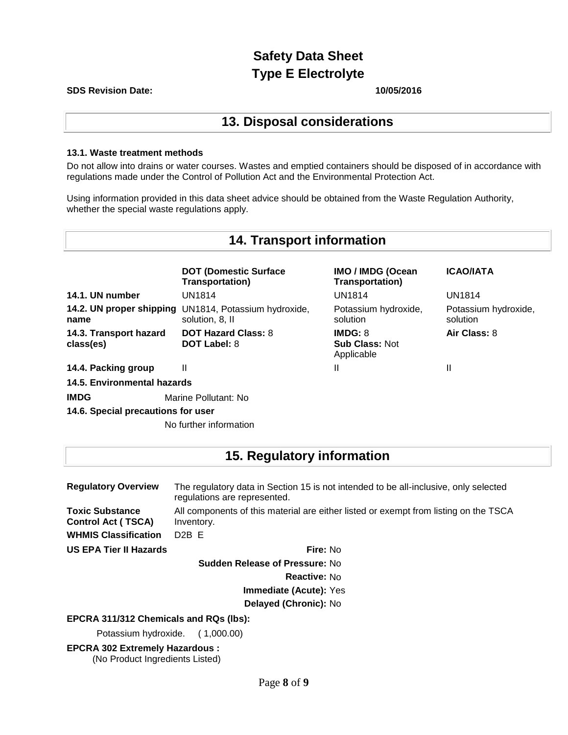#### **SDS Revision Date: 10/05/2016**

## **13. Disposal considerations**

## **13.1. Waste treatment methods**

Do not allow into drains or water courses. Wastes and emptied containers should be disposed of in accordance with regulations made under the Control of Pollution Act and the Environmental Protection Act.

Using information provided in this data sheet advice should be obtained from the Waste Regulation Authority, whether the special waste regulations apply.

#### **14. Transport information DOT (Domestic Surface Transportation) IMO / IMDG (Ocean Transportation) ICAO/IATA 14.1. UN number** UN1814 UN1814 UN1814 **14.2. UN proper shipping**  UN1814, Potassium hydroxide, **name** solution, 8, II Potassium hydroxide, solution Potassium hydroxide, solution **14.3. Transport hazard class(es) DOT Hazard Class:** 8 **DOT Label:** 8 **IMDG:** 8 **Sub Class:** Not Applicable **Air Class:** 8 **14.4. Packing group** II II II **14.5. Environmental hazards IMDG** Marine Pollutant: No

**14.6. Special precautions for user**

No further information

## **15. Regulatory information**

| <b>Regulatory Overview</b>                          | The regulatory data in Section 15 is not intended to be all-inclusive, only selected<br>regulations are represented. |
|-----------------------------------------------------|----------------------------------------------------------------------------------------------------------------------|
| <b>Toxic Substance</b><br><b>Control Act (TSCA)</b> | All components of this material are either listed or exempt from listing on the TSCA<br>Inventory.                   |
| <b>WHMIS Classification</b>                         | D <sub>2</sub> B F                                                                                                   |
| US EPA Tier II Hazards                              | Fire: No                                                                                                             |

**Sudden Release of Pressure:** No

**Reactive:** No

**Immediate (Acute):** Yes

**Delayed (Chronic):** No

## **EPCRA 311/312 Chemicals and RQs (lbs):**

Potassium hydroxide. ( 1,000.00)

**EPCRA 302 Extremely Hazardous :** (No Product Ingredients Listed)